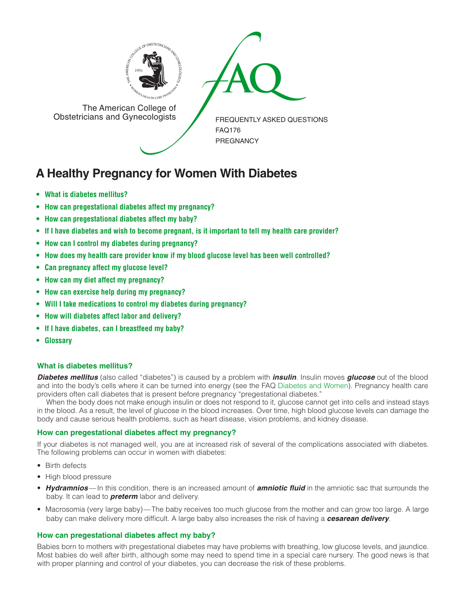

The American College of<br>
Obstetricians and Gynecologists

The American College of<br>Obstetricians and Gynecologists

FREQUENTLY ASKED QUESTIONS FAQ176 PREGNANCY

# **A Healthy Pregnancy for Women With Diabetes**

- **• What is diabetes [mellitus?](#page-0-0)**
- **• How can [pregestational](#page-0-1) diabetes affect my pregnancy?**
- **• How can [pregestational](#page-0-2) diabetes affect my baby?**
- If I have diabetes and wish to become pregnant, is it [important](#page-1-0) to tell my health care provider?
- **• How can I control my diabetes during [pregnancy?](#page-1-1)**
- **• How does my health care provider know if my blood glucose level has been well [controlled?](#page-1-2)**
- **• Can [pregnancy](#page-1-3) affect my glucose level?**
- **• How can my diet affect my [pregnancy?](#page-1-4)**
- **• How can exercise help during my [pregnancy?](#page-1-5)**
- **• Will I take [medications](#page-1-6) to control my diabetes during pregnancy?**
- **• How will diabetes affect labor and [delivery?](#page-1-7)**
- **• If I have diabetes, can I [breastfeed](#page-1-8) my baby?**
- **[• Glossary](#page-1-9)**

## <span id="page-0-0"></span>**What is diabetes mellitus?**

*Diabetes mellitus* (also called "diabetes") is caused by a problem with *insulin*. Insulin moves *glucose* out of the blood and into the body's cells where it can be turned into energy (see the FAQ [Diabetes and Women\)](http://www.acog.org/publications/faq/faq142.cfm). Pregnancy health care providers often call diabetes that is present before pregnancy "pregestational diabetes."

When the body does not make enough insulin or does not respond to it, glucose cannot get into cells and instead stays in the blood. As a result, the level of glucose in the blood increases. Over time, high blood glucose levels can damage the body and cause serious health problems, such as heart disease, vision problems, and kidney disease.

## <span id="page-0-1"></span>**How can pregestational diabetes affect my pregnancy?**

If your diabetes is not managed well, you are at increased risk of several of the complications associated with diabetes. The following problems can occur in women with diabetes:

- Birth defects
- High blood pressure
- *Hydramnios* In this condition, there is an increased amount of *amniotic fluid* in the amniotic sac that surrounds the baby. It can lead to *preterm* labor and delivery.
- Macrosomia (very large baby)—The baby receives too much glucose from the mother and can grow too large. A large baby can make delivery more difficult. A large baby also increases the risk of having a *cesarean delivery*.

## <span id="page-0-2"></span>**How can pregestational diabetes affect my baby?**

Babies born to mothers with pregestational diabetes may have problems with breathing, low glucose levels, and jaundice. Most babies do well after birth, although some may need to spend time in a special care nursery. The good news is that with proper planning and control of your diabetes, you can decrease the risk of these problems.